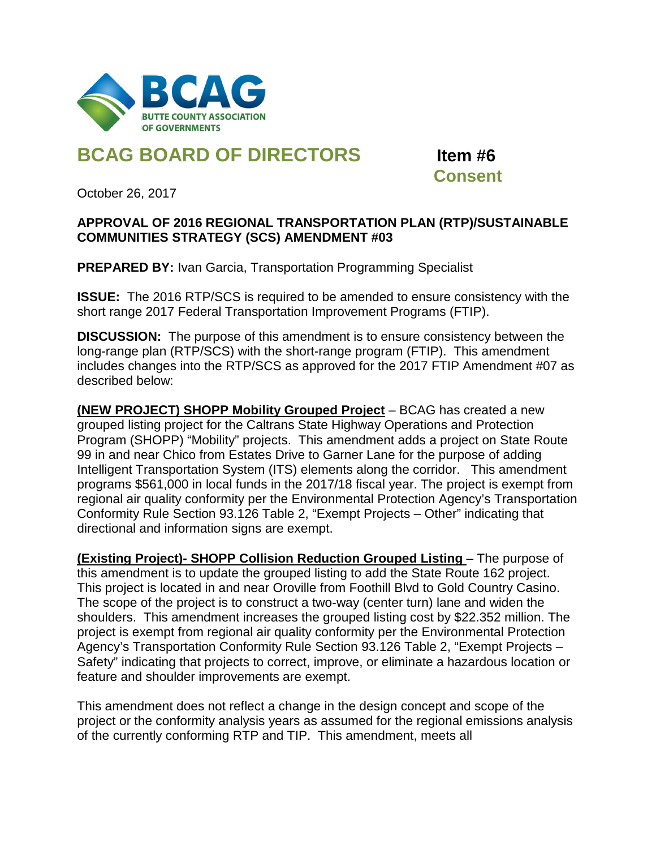

## **BCAG BOARD OF DIRECTORS Item #6**

 **Consent**

October 26, 2017

## **APPROVAL OF 2016 REGIONAL TRANSPORTATION PLAN (RTP)/SUSTAINABLE COMMUNITIES STRATEGY (SCS) AMENDMENT #03**

**PREPARED BY:** Ivan Garcia, Transportation Programming Specialist

**ISSUE:** The 2016 RTP/SCS is required to be amended to ensure consistency with the short range 2017 Federal Transportation Improvement Programs (FTIP).

**DISCUSSION:** The purpose of this amendment is to ensure consistency between the long-range plan (RTP/SCS) with the short-range program (FTIP). This amendment includes changes into the RTP/SCS as approved for the 2017 FTIP Amendment #07 as described below:

**(NEW PROJECT) SHOPP Mobility Grouped Project** – BCAG has created a new grouped listing project for the Caltrans State Highway Operations and Protection Program (SHOPP) "Mobility" projects. This amendment adds a project on State Route 99 in and near Chico from Estates Drive to Garner Lane for the purpose of adding Intelligent Transportation System (ITS) elements along the corridor. This amendment programs \$561,000 in local funds in the 2017/18 fiscal year. The project is exempt from regional air quality conformity per the Environmental Protection Agency's Transportation Conformity Rule Section 93.126 Table 2, "Exempt Projects – Other" indicating that directional and information signs are exempt.

**(Existing Project)- SHOPP Collision Reduction Grouped Listing** – The purpose of this amendment is to update the grouped listing to add the State Route 162 project. This project is located in and near Oroville from Foothill Blvd to Gold Country Casino. The scope of the project is to construct a two-way (center turn) lane and widen the shoulders. This amendment increases the grouped listing cost by \$22.352 million. The project is exempt from regional air quality conformity per the Environmental Protection Agency's Transportation Conformity Rule Section 93.126 Table 2, "Exempt Projects – Safety" indicating that projects to correct, improve, or eliminate a hazardous location or feature and shoulder improvements are exempt.

This amendment does not reflect a change in the design concept and scope of the project or the conformity analysis years as assumed for the regional emissions analysis of the currently conforming RTP and TIP. This amendment, meets all